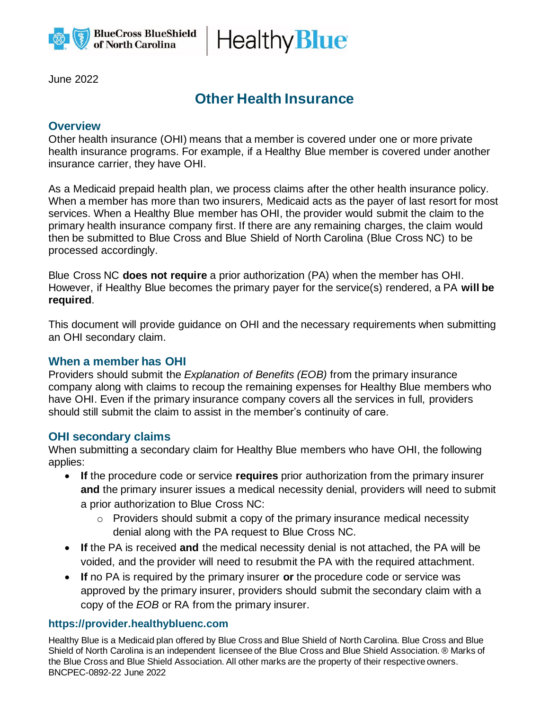

Healthy **Blue** 

June 2022

# **Other Health Insurance**

## **Overview**

Other health insurance (OHI) means that a member is covered under one or more private health insurance programs. For example, if a Healthy Blue member is covered under another insurance carrier, they have OHI.

As a Medicaid prepaid health plan, we process claims after the other health insurance policy. When a member has more than two insurers, Medicaid acts as the payer of last resort for most services. When a Healthy Blue member has OHI, the provider would submit the claim to the primary health insurance company first. If there are any remaining charges, the claim would then be submitted to Blue Cross and Blue Shield of North Carolina (Blue Cross NC) to be processed accordingly.

Blue Cross NC **does not require** a prior authorization (PA) when the member has OHI. However, if Healthy Blue becomes the primary payer for the service(s) rendered, a PA **will be required**.

This document will provide guidance on OHI and the necessary requirements when submitting an OHI secondary claim.

### **When a member has OHI**

Providers should submit the *Explanation of Benefits (EOB)* from the primary insurance company along with claims to recoup the remaining expenses for Healthy Blue members who have OHI. Even if the primary insurance company covers all the services in full, providers should still submit the claim to assist in the member's continuity of care.

### **OHI secondary claims**

When submitting a secondary claim for Healthy Blue members who have OHI, the following applies:

- **If** the procedure code or service **requires** prior authorization from the primary insurer **and** the primary insurer issues a medical necessity denial, providers will need to submit a prior authorization to Blue Cross NC:
	- $\circ$  Providers should submit a copy of the primary insurance medical necessity denial along with the PA request to Blue Cross NC.
- **If** the PA is received **and** the medical necessity denial is not attached, the PA will be voided, and the provider will need to resubmit the PA with the required attachment.
- **If** no PA is required by the primary insurer **or** the procedure code or service was approved by the primary insurer, providers should submit the secondary claim with a copy of the *EOB* or RA from the primary insurer.

### **https://provider.healthybluenc.com**

Healthy Blue is a Medicaid plan offered by Blue Cross and Blue Shield of North Carolina. Blue Cross and Blue Shield of North Carolina is an independent licensee of the Blue Cross and Blue Shield Association. ® Marks of the Blue Cross and Blue Shield Association. All other marks are the property of their respective owners. BNCPEC-0892-22 June 2022